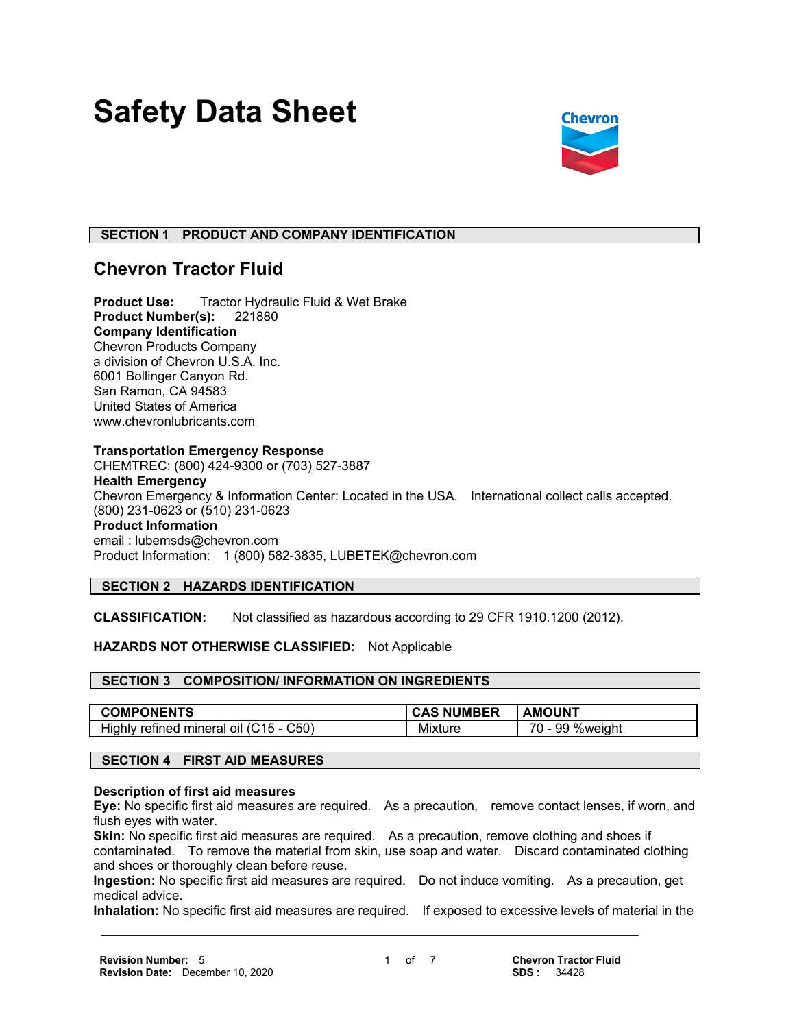# **Safety Data Sheet**



# **SECTION 1 PRODUCT AND COMPANY IDENTIFICATION**

# **Chevron Tractor Fluid**

**Product Use:** Tractor Hydraulic Fluid & Wet Brake **Product Number(s):** 221880 **Company Identification** Chevron Products Company a division of Chevron U.S.A. Inc. 6001 Bollinger Canyon Rd. San Ramon, CA 94583 United States of America www.chevronlubricants.com

#### **Transportation Emergency Response**

CHEMTREC: (800) 424-9300 or (703) 527-3887 **Health Emergency** Chevron Emergency & Information Center: Located in the USA. International collect calls accepted. (800) 231-0623 or (510) 231-0623 **Product Information** email : lubemsds@chevron.com Product Information: 1 (800) 582-3835, LUBETEK@chevron.com

# **SECTION 2 HAZARDS IDENTIFICATION**

**CLASSIFICATION:** Not classified as hazardous according to 29 CFR 1910.1200 (2012).

# **HAZARDS NOT OTHERWISE CLASSIFIED:** Not Applicable

# **SECTION 3 COMPOSITION/ INFORMATION ON INGREDIENTS**

| <b>COMPONENTS</b>                                 | <b>JMBER</b><br>NU. | AMOUNT                                                |
|---------------------------------------------------|---------------------|-------------------------------------------------------|
| C50)<br>Highly<br>mineral<br>refined<br>46<br>ΩIJ | .<br>Mixture        | $\overline{\phantom{a}}$<br>99<br><b>%weight</b><br>. |

#### **SECTION 4 FIRST AID MEASURES**

#### **Description of first aid measures**

**Eye:** No specific first aid measures are required. As a precaution, remove contact lenses, if worn, and flush eyes with water.

**Skin:** No specific first aid measures are required. As a precaution, remove clothing and shoes if contaminated. To remove the material from skin, use soap and water. Discard contaminated clothing and shoes or thoroughly clean before reuse.

**Ingestion:** No specific first aid measures are required. Do not induce vomiting. As a precaution, get medical advice.

**Inhalation:** No specific first aid measures are required. If exposed to excessive levels of material in the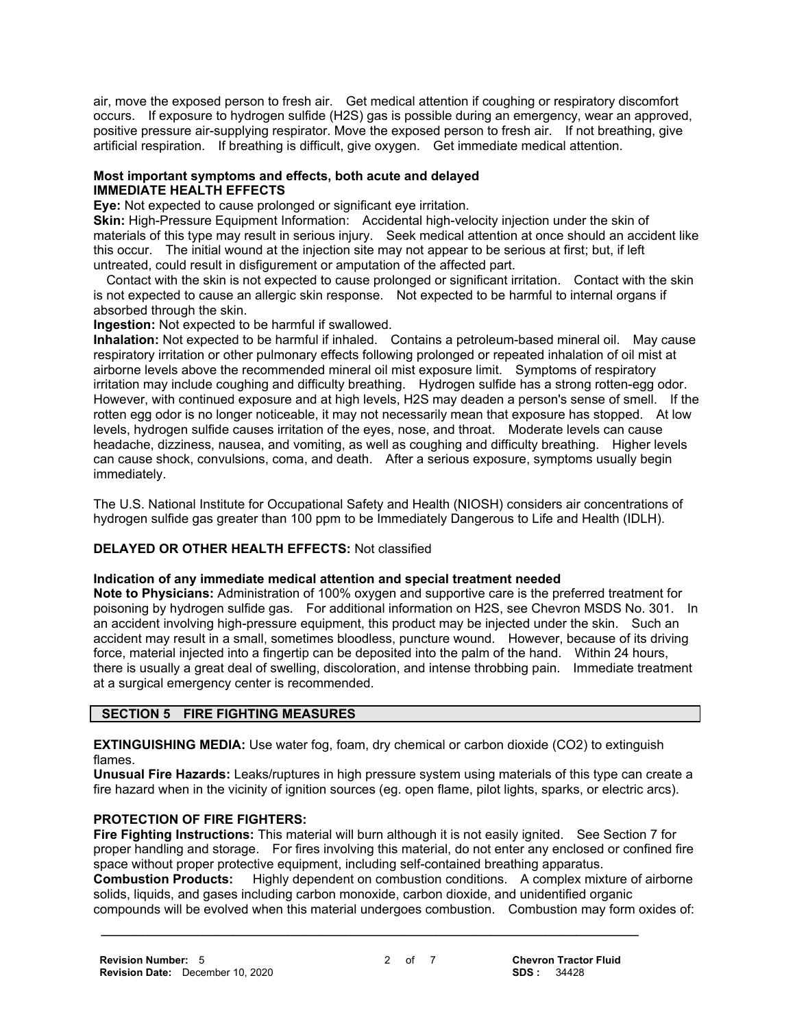air, move the exposed person to fresh air. Get medical attention if coughing or respiratory discomfort occurs. If exposure to hydrogen sulfide (H2S) gas is possible during an emergency, wear an approved, positive pressure air-supplying respirator. Move the exposed person to fresh air. If not breathing, give artificial respiration. If breathing is difficult, give oxygen. Get immediate medical attention.

# **Most important symptoms and effects, both acute and delayed IMMEDIATE HEALTH EFFECTS**

**Eye:** Not expected to cause prolonged or significant eye irritation.

**Skin:** High-Pressure Equipment Information: Accidental high-velocity injection under the skin of materials of this type may result in serious injury. Seek medical attention at once should an accident like this occur. The initial wound at the injection site may not appear to be serious at first; but, if left untreated, could result in disfigurement or amputation of the affected part.

 Contact with the skin is not expected to cause prolonged or significant irritation. Contact with the skin is not expected to cause an allergic skin response. Not expected to be harmful to internal organs if absorbed through the skin.

**Ingestion:** Not expected to be harmful if swallowed.

**Inhalation:** Not expected to be harmful if inhaled. Contains a petroleum-based mineral oil. May cause respiratory irritation or other pulmonary effects following prolonged or repeated inhalation of oil mist at airborne levels above the recommended mineral oil mist exposure limit. Symptoms of respiratory irritation may include coughing and difficulty breathing. Hydrogen sulfide has a strong rotten-egg odor. However, with continued exposure and at high levels, H2S may deaden a person's sense of smell. If the rotten egg odor is no longer noticeable, it may not necessarily mean that exposure has stopped. At low levels, hydrogen sulfide causes irritation of the eyes, nose, and throat. Moderate levels can cause headache, dizziness, nausea, and vomiting, as well as coughing and difficulty breathing. Higher levels can cause shock, convulsions, coma, and death. After a serious exposure, symptoms usually begin immediately.

The U.S. National Institute for Occupational Safety and Health (NIOSH) considers air concentrations of hydrogen sulfide gas greater than 100 ppm to be Immediately Dangerous to Life and Health (IDLH).

# **DELAYED OR OTHER HEALTH EFFECTS:** Not classified

# **Indication of any immediate medical attention and special treatment needed**

**Note to Physicians:** Administration of 100% oxygen and supportive care is the preferred treatment for poisoning by hydrogen sulfide gas. For additional information on H2S, see Chevron MSDS No. 301. In an accident involving high-pressure equipment, this product may be injected under the skin. Such an accident may result in a small, sometimes bloodless, puncture wound. However, because of its driving force, material injected into a fingertip can be deposited into the palm of the hand. Within 24 hours, there is usually a great deal of swelling, discoloration, and intense throbbing pain. Immediate treatment at a surgical emergency center is recommended.

# **SECTION 5 FIRE FIGHTING MEASURES**

**EXTINGUISHING MEDIA:** Use water fog, foam, dry chemical or carbon dioxide (CO2) to extinguish flames.

**Unusual Fire Hazards:** Leaks/ruptures in high pressure system using materials of this type can create a fire hazard when in the vicinity of ignition sources (eg. open flame, pilot lights, sparks, or electric arcs).

# **PROTECTION OF FIRE FIGHTERS:**

**Fire Fighting Instructions:** This material will burn although it is not easily ignited. See Section 7 for proper handling and storage. For fires involving this material, do not enter any enclosed or confined fire space without proper protective equipment, including self-contained breathing apparatus.

**Combustion Products:** Highly dependent on combustion conditions. A complex mixture of airborne solids, liquids, and gases including carbon monoxide, carbon dioxide, and unidentified organic compounds will be evolved when this material undergoes combustion. Combustion may form oxides of: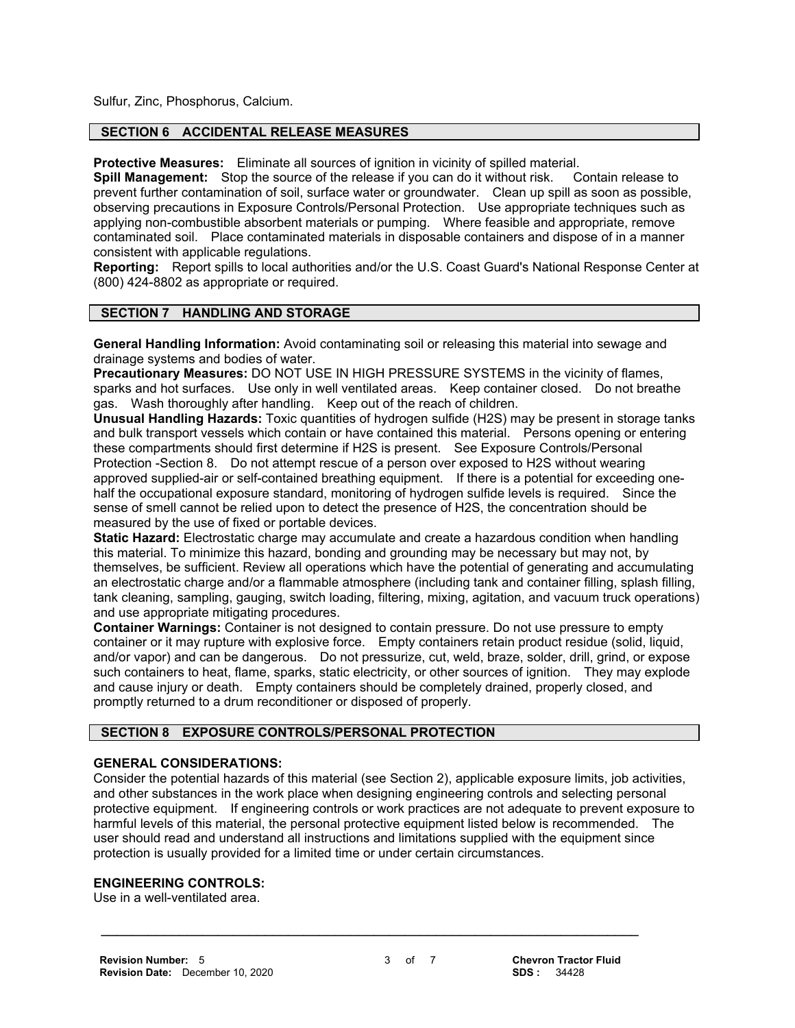Sulfur, Zinc, Phosphorus, Calcium.

# **SECTION 6 ACCIDENTAL RELEASE MEASURES**

**Protective Measures:** Eliminate all sources of ignition in vicinity of spilled material.

**Spill Management:** Stop the source of the release if you can do it without risk. Contain release to prevent further contamination of soil, surface water or groundwater. Clean up spill as soon as possible, observing precautions in Exposure Controls/Personal Protection. Use appropriate techniques such as applying non-combustible absorbent materials or pumping. Where feasible and appropriate, remove contaminated soil. Place contaminated materials in disposable containers and dispose of in a manner consistent with applicable regulations.

**Reporting:** Report spills to local authorities and/or the U.S. Coast Guard's National Response Center at (800) 424-8802 as appropriate or required.

#### **SECTION 7 HANDLING AND STORAGE**

**General Handling Information:** Avoid contaminating soil or releasing this material into sewage and drainage systems and bodies of water.

**Precautionary Measures:** DO NOT USE IN HIGH PRESSURE SYSTEMS in the vicinity of flames, sparks and hot surfaces. Use only in well ventilated areas. Keep container closed. Do not breathe gas. Wash thoroughly after handling. Keep out of the reach of children.

**Unusual Handling Hazards:** Toxic quantities of hydrogen sulfide (H2S) may be present in storage tanks and bulk transport vessels which contain or have contained this material. Persons opening or entering these compartments should first determine if H2S is present. See Exposure Controls/Personal Protection -Section 8. Do not attempt rescue of a person over exposed to H2S without wearing approved supplied-air or self-contained breathing equipment. If there is a potential for exceeding onehalf the occupational exposure standard, monitoring of hydrogen sulfide levels is required. Since the sense of smell cannot be relied upon to detect the presence of H2S, the concentration should be measured by the use of fixed or portable devices.

**Static Hazard:** Electrostatic charge may accumulate and create a hazardous condition when handling this material. To minimize this hazard, bonding and grounding may be necessary but may not, by themselves, be sufficient. Review all operations which have the potential of generating and accumulating an electrostatic charge and/or a flammable atmosphere (including tank and container filling, splash filling, tank cleaning, sampling, gauging, switch loading, filtering, mixing, agitation, and vacuum truck operations) and use appropriate mitigating procedures.

**Container Warnings:** Container is not designed to contain pressure. Do not use pressure to empty container or it may rupture with explosive force. Empty containers retain product residue (solid, liquid, and/or vapor) and can be dangerous. Do not pressurize, cut, weld, braze, solder, drill, grind, or expose such containers to heat, flame, sparks, static electricity, or other sources of ignition. They may explode and cause injury or death. Empty containers should be completely drained, properly closed, and promptly returned to a drum reconditioner or disposed of properly.

# **SECTION 8 EXPOSURE CONTROLS/PERSONAL PROTECTION**

# **GENERAL CONSIDERATIONS:**

Consider the potential hazards of this material (see Section 2), applicable exposure limits, job activities, and other substances in the work place when designing engineering controls and selecting personal protective equipment. If engineering controls or work practices are not adequate to prevent exposure to harmful levels of this material, the personal protective equipment listed below is recommended. The user should read and understand all instructions and limitations supplied with the equipment since protection is usually provided for a limited time or under certain circumstances.

#### **ENGINEERING CONTROLS:**

Use in a well-ventilated area.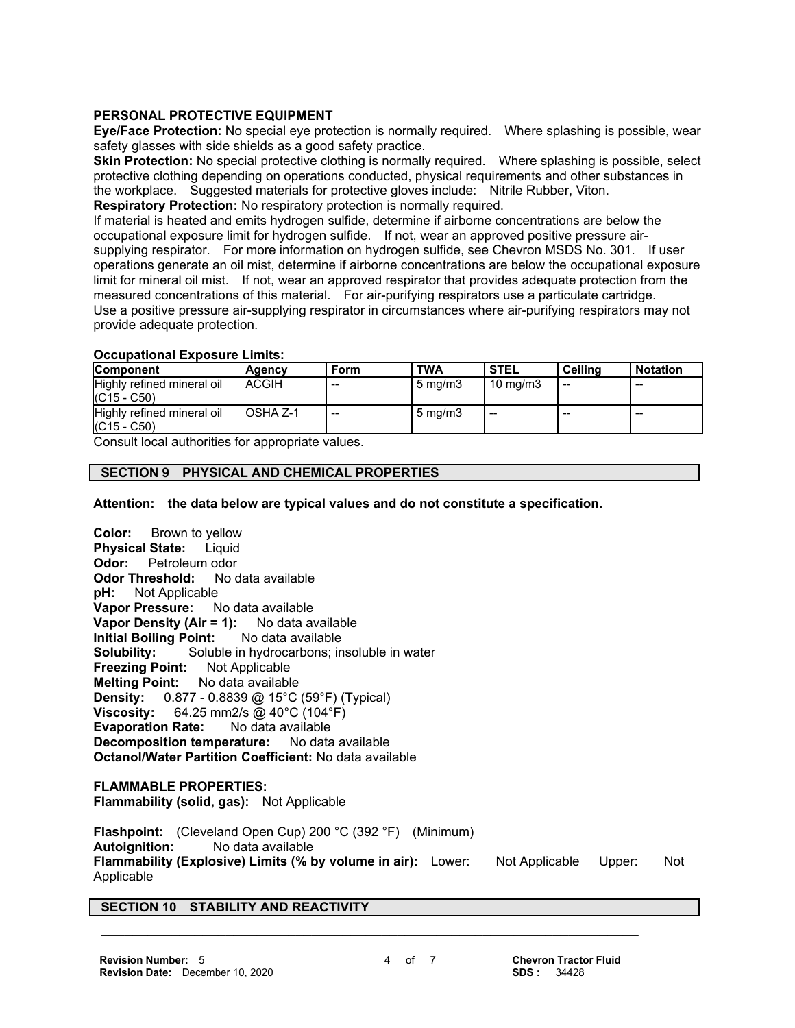# **PERSONAL PROTECTIVE EQUIPMENT**

**Eye/Face Protection:** No special eye protection is normally required. Where splashing is possible, wear safety glasses with side shields as a good safety practice.

**Skin Protection:** No special protective clothing is normally required. Where splashing is possible, select protective clothing depending on operations conducted, physical requirements and other substances in the workplace. Suggested materials for protective gloves include: Nitrile Rubber, Viton.

**Respiratory Protection:** No respiratory protection is normally required.

If material is heated and emits hydrogen sulfide, determine if airborne concentrations are below the occupational exposure limit for hydrogen sulfide. If not, wear an approved positive pressure airsupplying respirator. For more information on hydrogen sulfide, see Chevron MSDS No. 301. If user operations generate an oil mist, determine if airborne concentrations are below the occupational exposure limit for mineral oil mist. If not, wear an approved respirator that provides adequate protection from the measured concentrations of this material. For air-purifying respirators use a particulate cartridge. Use a positive pressure air-supplying respirator in circumstances where air-purifying respirators may not provide adequate protection.

#### **Occupational Exposure Limits:**

| <b>Component</b>                            | Agency       | Form  | <b>TWA</b>       | <b>STEL</b>         | Ceilina | <b>Notation</b> |
|---------------------------------------------|--------------|-------|------------------|---------------------|---------|-----------------|
| Highly refined mineral oil<br>$(C15 - C50)$ | <b>ACGIH</b> | $- -$ | $5 \text{ mg/m}$ | $10 \text{ ma/m}$ 3 | --      | $- -$           |
| Highly refined mineral oil<br>$(C15 - C50)$ | OSHA Z-1     | $-$   | $5 \text{ mg/m}$ | $- -$               | --      | $- -$           |

Consult local authorities for appropriate values.

# **SECTION 9 PHYSICAL AND CHEMICAL PROPERTIES**

**Attention: the data below are typical values and do not constitute a specification.**

**Color:** Brown to yellow **Physical State:** Liquid **Odor:** Petroleum odor<br>**Odor Threshold:** No data available **Odor Threshold: pH:** Not Applicable **Vapor Pressure:** No data available **Vapor Density (Air = 1):** No data available **Initial Boiling Point:** No data available **Solubility:** Soluble in hydrocarbons; insoluble in water **Freezing Point:** Not Applicable **Melting Point:** No data available **Density:** 0.877 - 0.8839 @ 15°C (59°F) (Typical) **Viscosity:** 64.25 mm2/s @ 40°C (104°F) **Evaporation Rate:** No data available<br>**Decomposition temperature:** No data available **Decomposition temperature: Octanol/Water Partition Coefficient:** No data available

**FLAMMABLE PROPERTIES: Flammability (solid, gas):** Not Applicable

**Flashpoint:** (Cleveland Open Cup) 200 °C (392 °F) (Minimum) **Autoignition:** No data available **Flammability (Explosive) Limits (% by volume in air):** Lower: Not Applicable Upper: Not Applicable

 **\_\_\_\_\_\_\_\_\_\_\_\_\_\_\_\_\_\_\_\_\_\_\_\_\_\_\_\_\_\_\_\_\_\_\_\_\_\_\_\_\_\_\_\_\_\_\_\_\_\_\_\_\_\_\_\_\_\_\_\_\_\_\_\_\_\_\_\_\_**

# **SECTION 10 STABILITY AND REACTIVITY**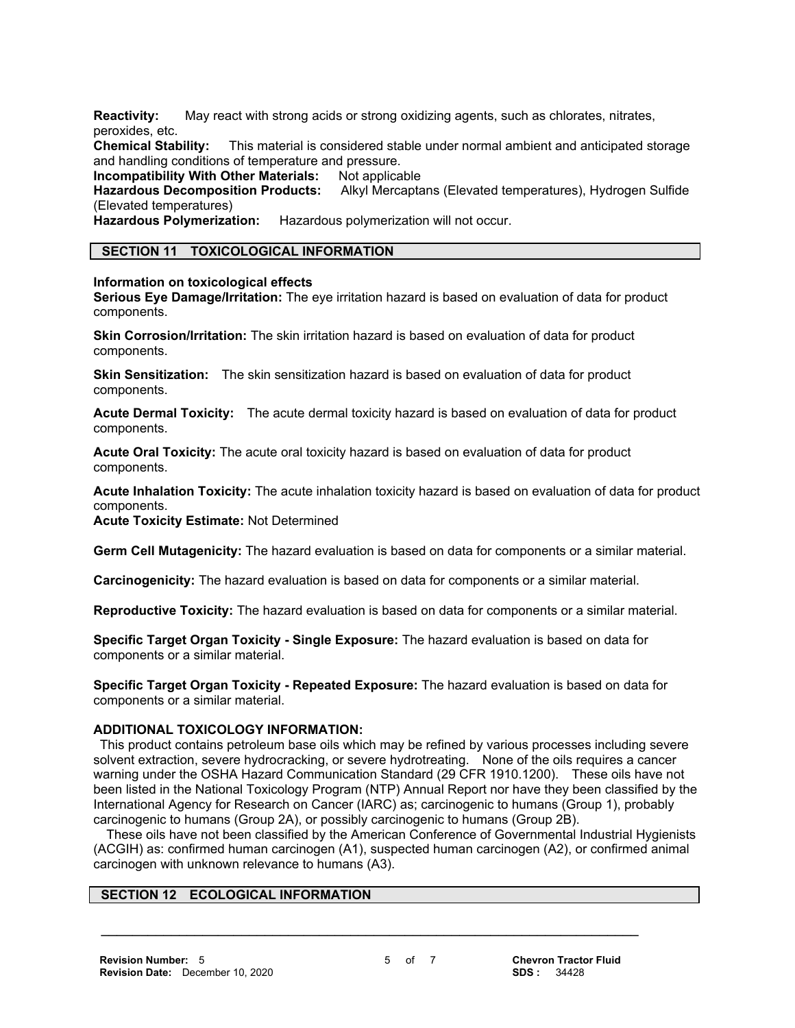**Reactivity:** May react with strong acids or strong oxidizing agents, such as chlorates, nitrates, peroxides, etc.

**Chemical Stability:** This material is considered stable under normal ambient and anticipated storage and handling conditions of temperature and pressure.

**Incompatibility With Other Materials:** Not applicable

**Hazardous Decomposition Products:** Alkyl Mercaptans (Elevated temperatures), Hydrogen Sulfide (Elevated temperatures)

**Hazardous Polymerization:** Hazardous polymerization will not occur.

#### **SECTION 11 TOXICOLOGICAL INFORMATION**

#### **Information on toxicological effects**

**Serious Eye Damage/Irritation:** The eye irritation hazard is based on evaluation of data for product components.

**Skin Corrosion/Irritation:** The skin irritation hazard is based on evaluation of data for product components.

**Skin Sensitization:** The skin sensitization hazard is based on evaluation of data for product components.

**Acute Dermal Toxicity:** The acute dermal toxicity hazard is based on evaluation of data for product components.

**Acute Oral Toxicity:** The acute oral toxicity hazard is based on evaluation of data for product components.

**Acute Inhalation Toxicity:** The acute inhalation toxicity hazard is based on evaluation of data for product components.

**Acute Toxicity Estimate:** Not Determined

**Germ Cell Mutagenicity:** The hazard evaluation is based on data for components or a similar material.

**Carcinogenicity:** The hazard evaluation is based on data for components or a similar material.

**Reproductive Toxicity:** The hazard evaluation is based on data for components or a similar material.

**Specific Target Organ Toxicity - Single Exposure:** The hazard evaluation is based on data for components or a similar material.

**Specific Target Organ Toxicity - Repeated Exposure:** The hazard evaluation is based on data for components or a similar material.

# **ADDITIONAL TOXICOLOGY INFORMATION:**

 This product contains petroleum base oils which may be refined by various processes including severe solvent extraction, severe hydrocracking, or severe hydrotreating. None of the oils requires a cancer warning under the OSHA Hazard Communication Standard (29 CFR 1910.1200). These oils have not been listed in the National Toxicology Program (NTP) Annual Report nor have they been classified by the International Agency for Research on Cancer (IARC) as; carcinogenic to humans (Group 1), probably carcinogenic to humans (Group 2A), or possibly carcinogenic to humans (Group 2B).

 These oils have not been classified by the American Conference of Governmental Industrial Hygienists (ACGIH) as: confirmed human carcinogen (A1), suspected human carcinogen (A2), or confirmed animal carcinogen with unknown relevance to humans (A3).

 **\_\_\_\_\_\_\_\_\_\_\_\_\_\_\_\_\_\_\_\_\_\_\_\_\_\_\_\_\_\_\_\_\_\_\_\_\_\_\_\_\_\_\_\_\_\_\_\_\_\_\_\_\_\_\_\_\_\_\_\_\_\_\_\_\_\_\_\_\_**

#### **SECTION 12 ECOLOGICAL INFORMATION**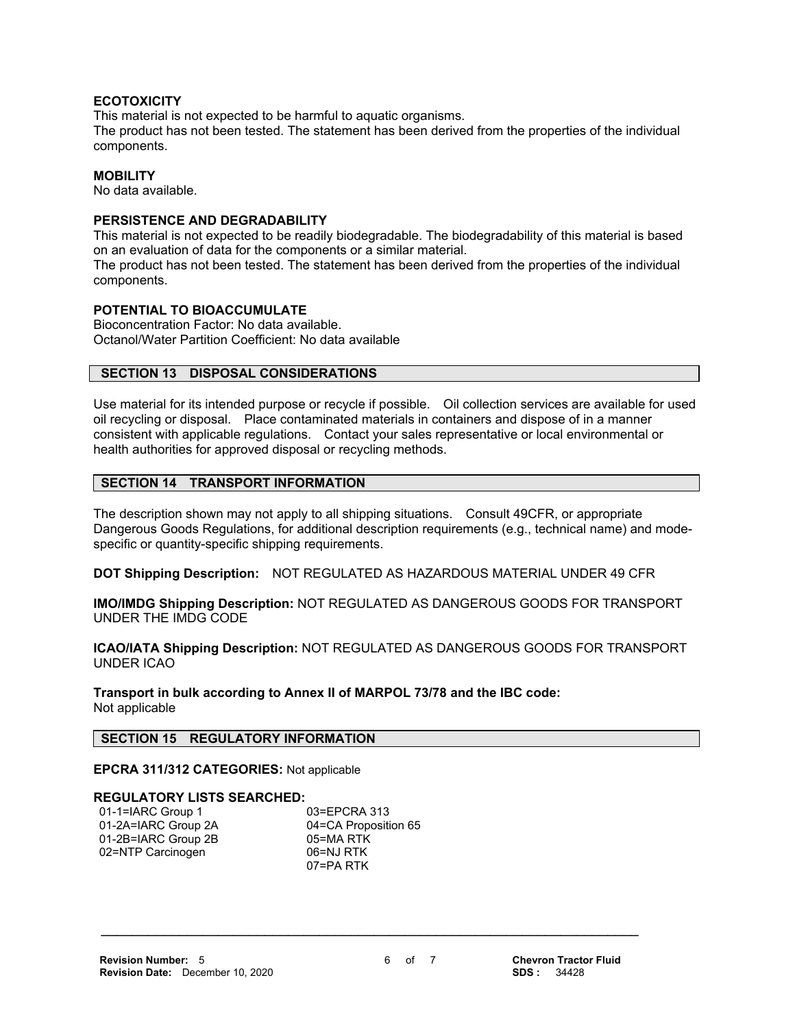#### **ECOTOXICITY**

This material is not expected to be harmful to aquatic organisms.

The product has not been tested. The statement has been derived from the properties of the individual components.

#### **MOBILITY**

No data available.

#### **PERSISTENCE AND DEGRADABILITY**

This material is not expected to be readily biodegradable. The biodegradability of this material is based on an evaluation of data for the components or a similar material.

The product has not been tested. The statement has been derived from the properties of the individual components.

# **POTENTIAL TO BIOACCUMULATE**

Bioconcentration Factor: No data available. Octanol/Water Partition Coefficient: No data available

# **SECTION 13 DISPOSAL CONSIDERATIONS**

Use material for its intended purpose or recycle if possible. Oil collection services are available for used oil recycling or disposal. Place contaminated materials in containers and dispose of in a manner consistent with applicable regulations. Contact your sales representative or local environmental or health authorities for approved disposal or recycling methods.

#### **SECTION 14 TRANSPORT INFORMATION**

The description shown may not apply to all shipping situations. Consult 49CFR, or appropriate Dangerous Goods Regulations, for additional description requirements (e.g., technical name) and modespecific or quantity-specific shipping requirements.

**DOT Shipping Description:** NOT REGULATED AS HAZARDOUS MATERIAL UNDER 49 CFR

**IMO/IMDG Shipping Description:** NOT REGULATED AS DANGEROUS GOODS FOR TRANSPORT UNDER THE IMDG CODE

**ICAO/IATA Shipping Description:** NOT REGULATED AS DANGEROUS GOODS FOR TRANSPORT UNDER ICAO

**Transport in bulk according to Annex II of MARPOL 73/78 and the IBC code:** Not applicable

#### **SECTION 15 REGULATORY INFORMATION**

**EPCRA 311/312 CATEGORIES:** Not applicable

#### **REGULATORY LISTS SEARCHED:**

01-1=IARC Group 1 03=EPCRA 313 01-2A=IARC Group 2A 04=CA Proposition 65 01-2B=IARC Group 2B 05=MA RTK 02=NTP Carcinogen 06=NJ RTK

07=PA RTK